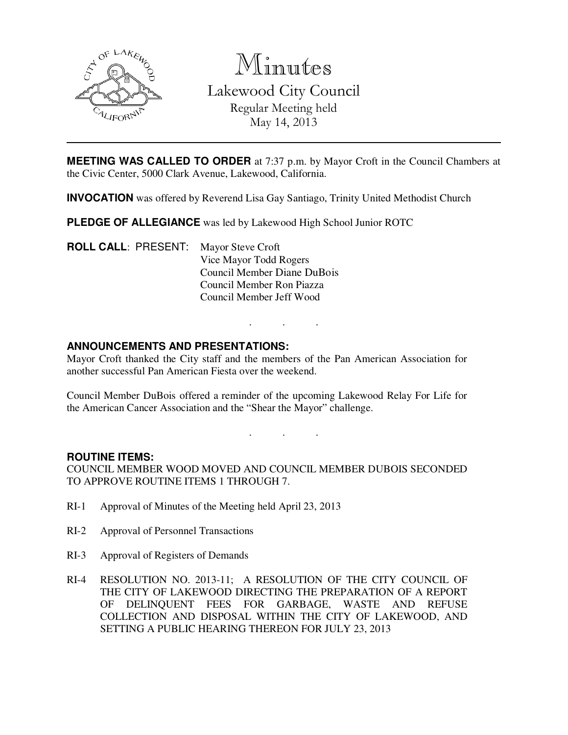

Minutes

Lakewood City Council Regular Meeting held May 14, 2013

**MEETING WAS CALLED TO ORDER** at 7:37 p.m. by Mayor Croft in the Council Chambers at the Civic Center, 5000 Clark Avenue, Lakewood, California.

**INVOCATION** was offered by Reverend Lisa Gay Santiago, Trinity United Methodist Church

**PLEDGE OF ALLEGIANCE** was led by Lakewood High School Junior ROTC

**ROLL CALL**: PRESENT: Mayor Steve Croft Vice Mayor Todd Rogers Council Member Diane DuBois Council Member Ron Piazza Council Member Jeff Wood

## **ANNOUNCEMENTS AND PRESENTATIONS:**

Mayor Croft thanked the City staff and the members of the Pan American Association for another successful Pan American Fiesta over the weekend.

Council Member DuBois offered a reminder of the upcoming Lakewood Relay For Life for the American Cancer Association and the "Shear the Mayor" challenge.

. . .

. . .

#### **ROUTINE ITEMS:**

COUNCIL MEMBER WOOD MOVED AND COUNCIL MEMBER DUBOIS SECONDED TO APPROVE ROUTINE ITEMS 1 THROUGH 7.

- RI-1 Approval of Minutes of the Meeting held April 23, 2013
- RI-2 Approval of Personnel Transactions
- RI-3 Approval of Registers of Demands
- RI-4 RESOLUTION NO. 2013-11; A RESOLUTION OF THE CITY COUNCIL OF THE CITY OF LAKEWOOD DIRECTING THE PREPARATION OF A REPORT OF DELINQUENT FEES FOR GARBAGE, WASTE AND REFUSE COLLECTION AND DISPOSAL WITHIN THE CITY OF LAKEWOOD, AND SETTING A PUBLIC HEARING THEREON FOR JULY 23, 2013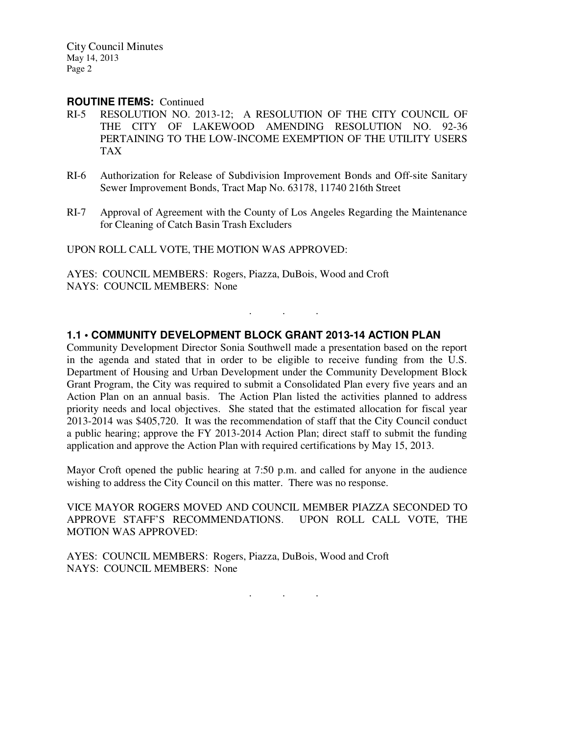City Council Minutes May 14, 2013 Page 2

#### **ROUTINE ITEMS:** Continued

- RI-5 RESOLUTION NO. 2013-12; A RESOLUTION OF THE CITY COUNCIL OF THE CITY OF LAKEWOOD AMENDING RESOLUTION NO. 92-36 PERTAINING TO THE LOW-INCOME EXEMPTION OF THE UTILITY USERS TAX
- RI-6 Authorization for Release of Subdivision Improvement Bonds and Off-site Sanitary Sewer Improvement Bonds, Tract Map No. 63178, 11740 216th Street
- RI-7 Approval of Agreement with the County of Los Angeles Regarding the Maintenance for Cleaning of Catch Basin Trash Excluders

UPON ROLL CALL VOTE, THE MOTION WAS APPROVED:

AYES: COUNCIL MEMBERS: Rogers, Piazza, DuBois, Wood and Croft NAYS: COUNCIL MEMBERS: None

## **1.1 • COMMUNITY DEVELOPMENT BLOCK GRANT 2013-14 ACTION PLAN**

Community Development Director Sonia Southwell made a presentation based on the report in the agenda and stated that in order to be eligible to receive funding from the U.S. Department of Housing and Urban Development under the Community Development Block Grant Program, the City was required to submit a Consolidated Plan every five years and an Action Plan on an annual basis. The Action Plan listed the activities planned to address priority needs and local objectives. She stated that the estimated allocation for fiscal year 2013-2014 was \$405,720. It was the recommendation of staff that the City Council conduct a public hearing; approve the FY 2013-2014 Action Plan; direct staff to submit the funding application and approve the Action Plan with required certifications by May 15, 2013.

. . .

Mayor Croft opened the public hearing at 7:50 p.m. and called for anyone in the audience wishing to address the City Council on this matter. There was no response.

VICE MAYOR ROGERS MOVED AND COUNCIL MEMBER PIAZZA SECONDED TO APPROVE STAFF'S RECOMMENDATIONS. UPON ROLL CALL VOTE, THE MOTION WAS APPROVED:

AYES: COUNCIL MEMBERS: Rogers, Piazza, DuBois, Wood and Croft NAYS: COUNCIL MEMBERS: None

. . .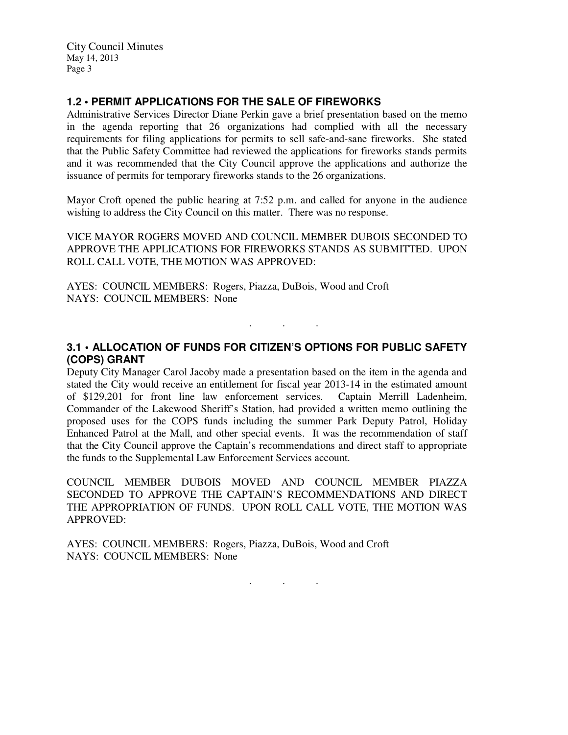City Council Minutes May 14, 2013 Page 3

# **1.2 • PERMIT APPLICATIONS FOR THE SALE OF FIREWORKS**

Administrative Services Director Diane Perkin gave a brief presentation based on the memo in the agenda reporting that 26 organizations had complied with all the necessary requirements for filing applications for permits to sell safe-and-sane fireworks. She stated that the Public Safety Committee had reviewed the applications for fireworks stands permits and it was recommended that the City Council approve the applications and authorize the issuance of permits for temporary fireworks stands to the 26 organizations.

Mayor Croft opened the public hearing at 7:52 p.m. and called for anyone in the audience wishing to address the City Council on this matter. There was no response.

VICE MAYOR ROGERS MOVED AND COUNCIL MEMBER DUBOIS SECONDED TO APPROVE THE APPLICATIONS FOR FIREWORKS STANDS AS SUBMITTED. UPON ROLL CALL VOTE, THE MOTION WAS APPROVED:

AYES: COUNCIL MEMBERS: Rogers, Piazza, DuBois, Wood and Croft NAYS: COUNCIL MEMBERS: None

# **3.1 • ALLOCATION OF FUNDS FOR CITIZEN'S OPTIONS FOR PUBLIC SAFETY (COPS) GRANT**

. . .

Deputy City Manager Carol Jacoby made a presentation based on the item in the agenda and stated the City would receive an entitlement for fiscal year 2013-14 in the estimated amount of \$129,201 for front line law enforcement services. Captain Merrill Ladenheim, Commander of the Lakewood Sheriff's Station, had provided a written memo outlining the proposed uses for the COPS funds including the summer Park Deputy Patrol, Holiday Enhanced Patrol at the Mall, and other special events. It was the recommendation of staff that the City Council approve the Captain's recommendations and direct staff to appropriate the funds to the Supplemental Law Enforcement Services account.

COUNCIL MEMBER DUBOIS MOVED AND COUNCIL MEMBER PIAZZA SECONDED TO APPROVE THE CAPTAIN'S RECOMMENDATIONS AND DIRECT THE APPROPRIATION OF FUNDS. UPON ROLL CALL VOTE, THE MOTION WAS APPROVED:

AYES: COUNCIL MEMBERS: Rogers, Piazza, DuBois, Wood and Croft NAYS: COUNCIL MEMBERS: None

. . .